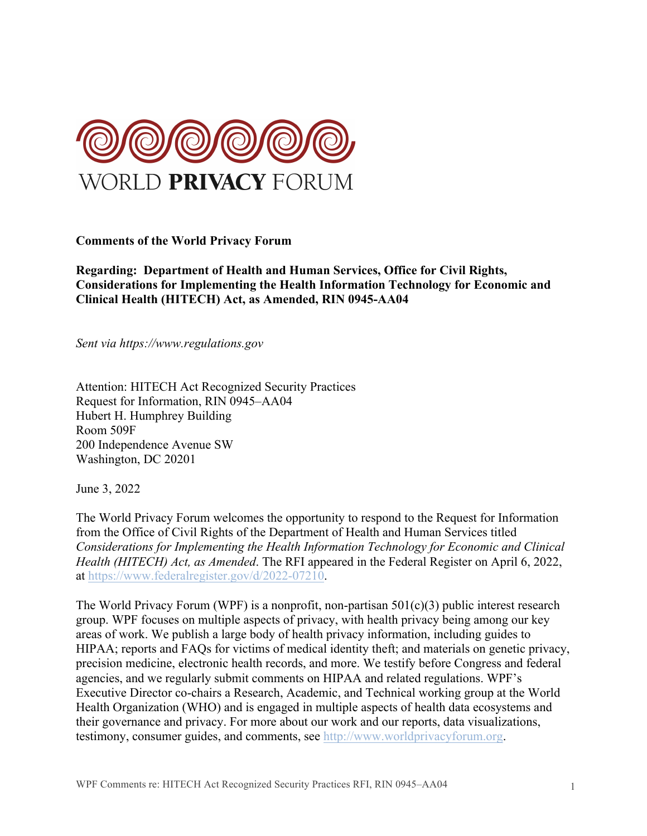

**Comments of the World Privacy Forum** 

**Regarding: Department of Health and Human Services, Office for Civil Rights, Considerations for Implementing the Health Information Technology for Economic and Clinical Health (HITECH) Act, as Amended, RIN 0945-AA04** 

*Sent via https://www.regulations.gov* 

Attention: HITECH Act Recognized Security Practices Request for Information, RIN 0945–AA04 Hubert H. Humphrey Building Room 509F 200 Independence Avenue SW Washington, DC 20201

June 3, 2022

The World Privacy Forum welcomes the opportunity to respond to the Request for Information from the Office of Civil Rights of the Department of Health and Human Services titled *Considerations for Implementing the Health Information Technology for Economic and Clinical Health (HITECH) Act, as Amended*. The RFI appeared in the Federal Register on April 6, 2022, at https://www.federalregister.gov/d/2022-07210.

The World Privacy Forum (WPF) is a nonprofit, non-partisan  $501(c)(3)$  public interest research group. WPF focuses on multiple aspects of privacy, with health privacy being among our key areas of work. We publish a large body of health privacy information, including guides to HIPAA; reports and FAQs for victims of medical identity theft; and materials on genetic privacy, precision medicine, electronic health records, and more. We testify before Congress and federal agencies, and we regularly submit comments on HIPAA and related regulations. WPF's Executive Director co-chairs a Research, Academic, and Technical working group at the World Health Organization (WHO) and is engaged in multiple aspects of health data ecosystems and their governance and privacy. For more about our work and our reports, data visualizations, testimony, consumer guides, and comments, see http://www.worldprivacyforum.org.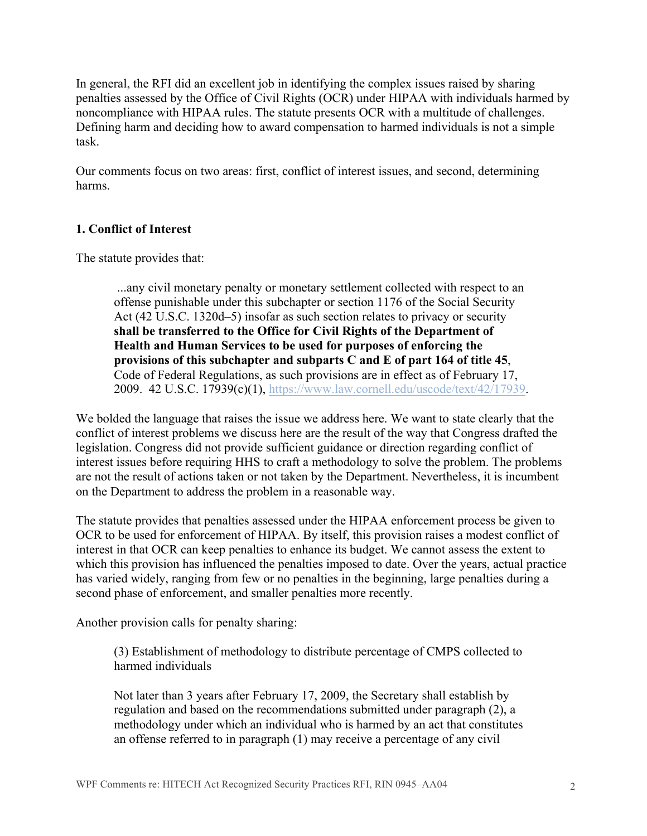In general, the RFI did an excellent job in identifying the complex issues raised by sharing penalties assessed by the Office of Civil Rights (OCR) under HIPAA with individuals harmed by noncompliance with HIPAA rules. The statute presents OCR with a multitude of challenges. Defining harm and deciding how to award compensation to harmed individuals is not a simple task.

Our comments focus on two areas: first, conflict of interest issues, and second, determining harms.

## **1. Conflict of Interest**

The statute provides that:

...any civil monetary penalty or monetary settlement collected with respect to an offense punishable under this subchapter or section 1176 of the Social Security Act (42 U.S.C. 1320d–5) insofar as such section relates to privacy or security **shall be transferred to the Office for Civil Rights of the Department of Health and Human Services to be used for purposes of enforcing the provisions of this subchapter and subparts C and E of part 164 of title 45**, Code of Federal Regulations, as such provisions are in effect as of February 17, 2009. 42 U.S.C. 17939(c)(1), https://www.law.cornell.edu/uscode/text/42/17939.

We bolded the language that raises the issue we address here. We want to state clearly that the conflict of interest problems we discuss here are the result of the way that Congress drafted the legislation. Congress did not provide sufficient guidance or direction regarding conflict of interest issues before requiring HHS to craft a methodology to solve the problem. The problems are not the result of actions taken or not taken by the Department. Nevertheless, it is incumbent on the Department to address the problem in a reasonable way.

The statute provides that penalties assessed under the HIPAA enforcement process be given to OCR to be used for enforcement of HIPAA. By itself, this provision raises a modest conflict of interest in that OCR can keep penalties to enhance its budget. We cannot assess the extent to which this provision has influenced the penalties imposed to date. Over the years, actual practice has varied widely, ranging from few or no penalties in the beginning, large penalties during a second phase of enforcement, and smaller penalties more recently.

Another provision calls for penalty sharing:

(3) Establishment of methodology to distribute percentage of CMPS collected to harmed individuals

Not later than 3 years after February 17, 2009, the Secretary shall establish by regulation and based on the recommendations submitted under paragraph (2), a methodology under which an individual who is harmed by an act that constitutes an offense referred to in paragraph (1) may receive a percentage of any civil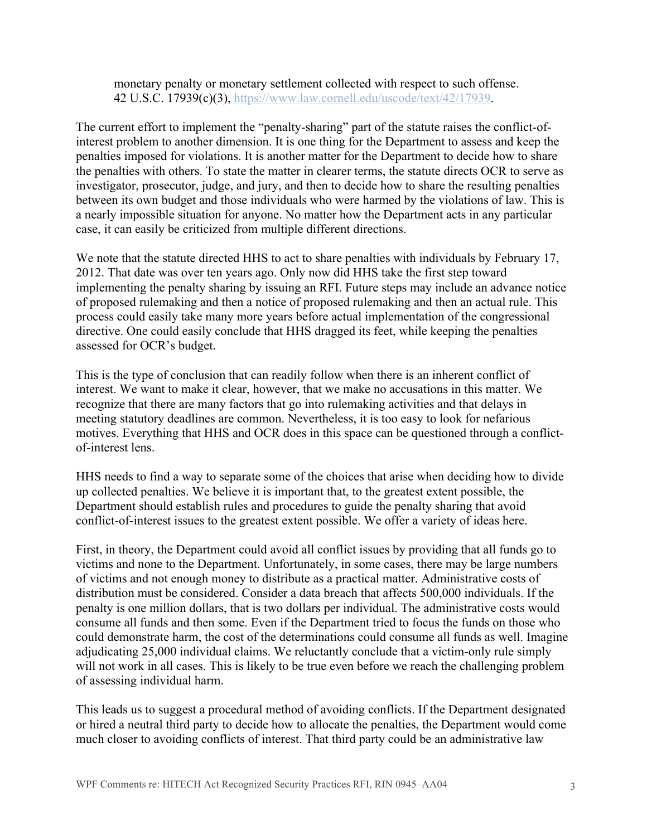monetary penalty or monetary settlement collected with respect to such offense. 42 U.S.C. 17939(c)(3), https://www.law.cornell.edu/uscode/text/42/17939.

The current effort to implement the "penalty-sharing" part of the statute raises the conflict-ofinterest problem to another dimension. It is one thing for the Department to assess and keep the penalties imposed for violations. It is another matter for the Department to decide how to share the penalties with others. To state the matter in clearer terms, the statute directs OCR to serve as investigator, prosecutor, judge, and jury, and then to decide how to share the resulting penalties between its own budget and those individuals who were harmed by the violations of law. This is a nearly impossible situation for anyone. No matter how the Department acts in any particular case, it can easily be criticized from multiple different directions.

We note that the statute directed HHS to act to share penalties with individuals by February 17, 2012. That date was over ten years ago. Only now did HHS take the first step toward implementing the penalty sharing by issuing an RFI. Future steps may include an advance notice of proposed rulemaking and then a notice of proposed rulemaking and then an actual rule. This process could easily take many more years before actual implementation of the congressional directive. One could easily conclude that HHS dragged its feet, while keeping the penalties assessed for OCR's budget.

This is the type of conclusion that can readily follow when there is an inherent conflict of interest. We want to make it clear, however, that we make no accusations in this matter. We recognize that there are many factors that go into rulemaking activities and that delays in meeting statutory deadlines are common. Nevertheless, it is too easy to look for nefarious motives. Everything that HHS and OCR does in this space can be questioned through a conflictof-interest lens.

HHS needs to find a way to separate some of the choices that arise when deciding how to divide up collected penalties. We believe it is important that, to the greatest extent possible, the Department should establish rules and procedures to guide the penalty sharing that avoid conflict-of-interest issues to the greatest extent possible. We offer a variety of ideas here.

First, in theory, the Department could avoid all conflict issues by providing that all funds go to victims and none to the Department. Unfortunately, in some cases, there may be large numbers of victims and not enough money to distribute as a practical matter. Administrative costs of distribution must be considered. Consider a data breach that affects 500,000 individuals. If the penalty is one million dollars, that is two dollars per individual. The administrative costs would consume all funds and then some. Even if the Department tried to focus the funds on those who could demonstrate harm, the cost of the determinations could consume all funds as well. Imagine adjudicating 25,000 individual claims. We reluctantly conclude that a victim-only rule simply will not work in all cases. This is likely to be true even before we reach the challenging problem of assessing individual harm.

This leads us to suggest a procedural method of avoiding conflicts. If the Department designated or hired a neutral third party to decide how to allocate the penalties, the Department would come much closer to avoiding conflicts of interest. That third party could be an administrative law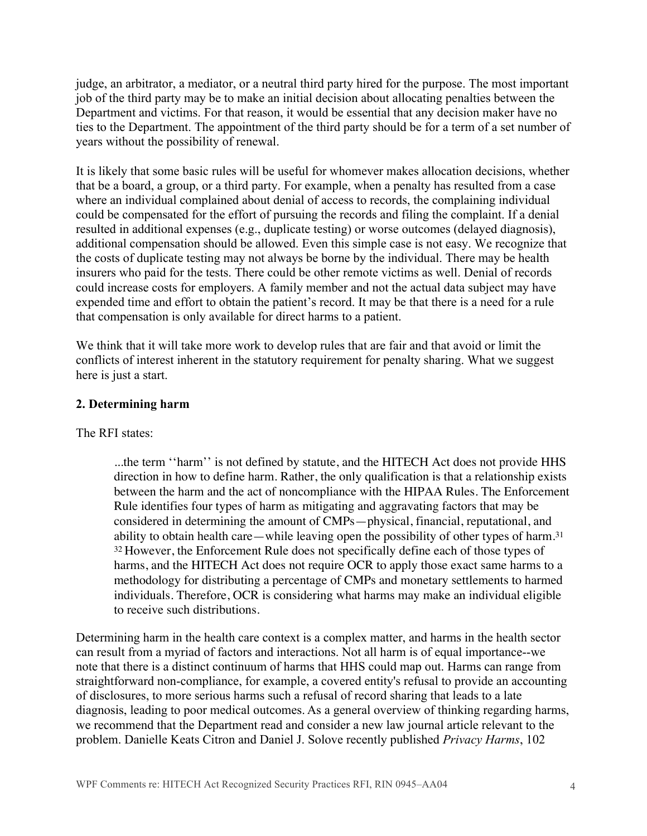judge, an arbitrator, a mediator, or a neutral third party hired for the purpose. The most important job of the third party may be to make an initial decision about allocating penalties between the Department and victims. For that reason, it would be essential that any decision maker have no ties to the Department. The appointment of the third party should be for a term of a set number of years without the possibility of renewal.

It is likely that some basic rules will be useful for whomever makes allocation decisions, whether that be a board, a group, or a third party. For example, when a penalty has resulted from a case where an individual complained about denial of access to records, the complaining individual could be compensated for the effort of pursuing the records and filing the complaint. If a denial resulted in additional expenses (e.g., duplicate testing) or worse outcomes (delayed diagnosis), additional compensation should be allowed. Even this simple case is not easy. We recognize that the costs of duplicate testing may not always be borne by the individual. There may be health insurers who paid for the tests. There could be other remote victims as well. Denial of records could increase costs for employers. A family member and not the actual data subject may have expended time and effort to obtain the patient's record. It may be that there is a need for a rule that compensation is only available for direct harms to a patient.

We think that it will take more work to develop rules that are fair and that avoid or limit the conflicts of interest inherent in the statutory requirement for penalty sharing. What we suggest here is just a start.

## **2. Determining harm**

The RFI states:

...the term ''harm'' is not defined by statute, and the HITECH Act does not provide HHS direction in how to define harm. Rather, the only qualification is that a relationship exists between the harm and the act of noncompliance with the HIPAA Rules. The Enforcement Rule identifies four types of harm as mitigating and aggravating factors that may be considered in determining the amount of CMPs—physical, financial, reputational, and ability to obtain health care—while leaving open the possibility of other types of harm.31 <sup>32</sup> However, the Enforcement Rule does not specifically define each of those types of harms, and the HITECH Act does not require OCR to apply those exact same harms to a methodology for distributing a percentage of CMPs and monetary settlements to harmed individuals. Therefore, OCR is considering what harms may make an individual eligible to receive such distributions.

Determining harm in the health care context is a complex matter, and harms in the health sector can result from a myriad of factors and interactions. Not all harm is of equal importance--we note that there is a distinct continuum of harms that HHS could map out. Harms can range from straightforward non-compliance, for example, a covered entity's refusal to provide an accounting of disclosures, to more serious harms such a refusal of record sharing that leads to a late diagnosis, leading to poor medical outcomes. As a general overview of thinking regarding harms, we recommend that the Department read and consider a new law journal article relevant to the problem. Danielle Keats Citron and Daniel J. Solove recently published *Privacy Harms*, 102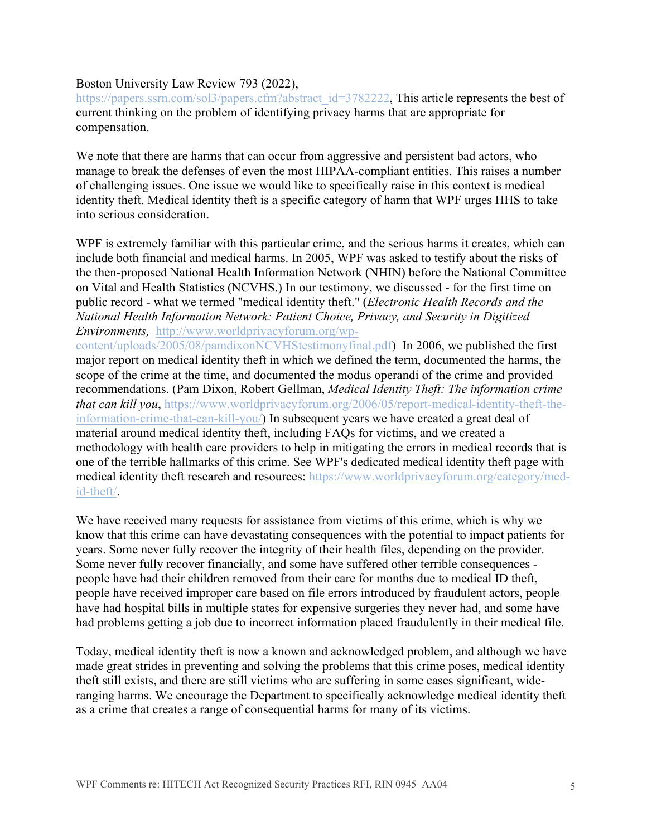## Boston University Law Review 793 (2022),

https://papers.ssrn.com/sol3/papers.cfm?abstract\_id=3782222, This article represents the best of current thinking on the problem of identifying privacy harms that are appropriate for compensation.

We note that there are harms that can occur from aggressive and persistent bad actors, who manage to break the defenses of even the most HIPAA-compliant entities. This raises a number of challenging issues. One issue we would like to specifically raise in this context is medical identity theft. Medical identity theft is a specific category of harm that WPF urges HHS to take into serious consideration.

WPF is extremely familiar with this particular crime, and the serious harms it creates, which can include both financial and medical harms. In 2005, WPF was asked to testify about the risks of the then-proposed National Health Information Network (NHIN) before the National Committee on Vital and Health Statistics (NCVHS.) In our testimony, we discussed - for the first time on public record - what we termed "medical identity theft." (*Electronic Health Records and the National Health Information Network: Patient Choice, Privacy, and Security in Digitized Environments,* http://www.worldprivacyforum.org/wp-

content/uploads/2005/08/pamdixonNCVHStestimonyfinal.pdf) In 2006, we published the first major report on medical identity theft in which we defined the term, documented the harms, the scope of the crime at the time, and documented the modus operandi of the crime and provided recommendations. (Pam Dixon, Robert Gellman, *Medical Identity Theft: The information crime that can kill you*, https://www.worldprivacyforum.org/2006/05/report-medical-identity-theft-theinformation-crime-that-can-kill-you/) In subsequent years we have created a great deal of material around medical identity theft, including FAQs for victims, and we created a methodology with health care providers to help in mitigating the errors in medical records that is one of the terrible hallmarks of this crime. See WPF's dedicated medical identity theft page with medical identity theft research and resources: https://www.worldprivacyforum.org/category/medid-theft/.

We have received many requests for assistance from victims of this crime, which is why we know that this crime can have devastating consequences with the potential to impact patients for years. Some never fully recover the integrity of their health files, depending on the provider. Some never fully recover financially, and some have suffered other terrible consequences people have had their children removed from their care for months due to medical ID theft, people have received improper care based on file errors introduced by fraudulent actors, people have had hospital bills in multiple states for expensive surgeries they never had, and some have had problems getting a job due to incorrect information placed fraudulently in their medical file.

Today, medical identity theft is now a known and acknowledged problem, and although we have made great strides in preventing and solving the problems that this crime poses, medical identity theft still exists, and there are still victims who are suffering in some cases significant, wideranging harms. We encourage the Department to specifically acknowledge medical identity theft as a crime that creates a range of consequential harms for many of its victims.